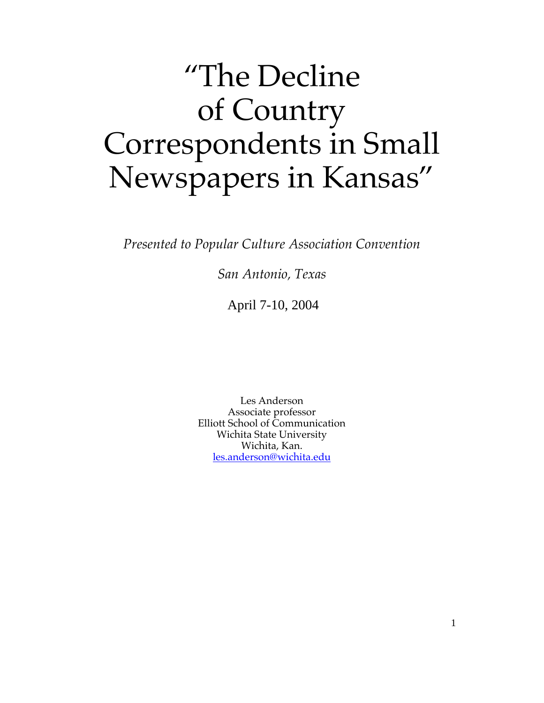# "The Decline of Country Correspondents in Small Newspapers in Kansas"

*Presented to Popular Culture Association Convention*

*San Antonio, Texas*

April 7-10, 2004

Les Anderson Associate professor Elliott School of Communication Wichita State University Wichita, Kan. les.anderson@wichita.edu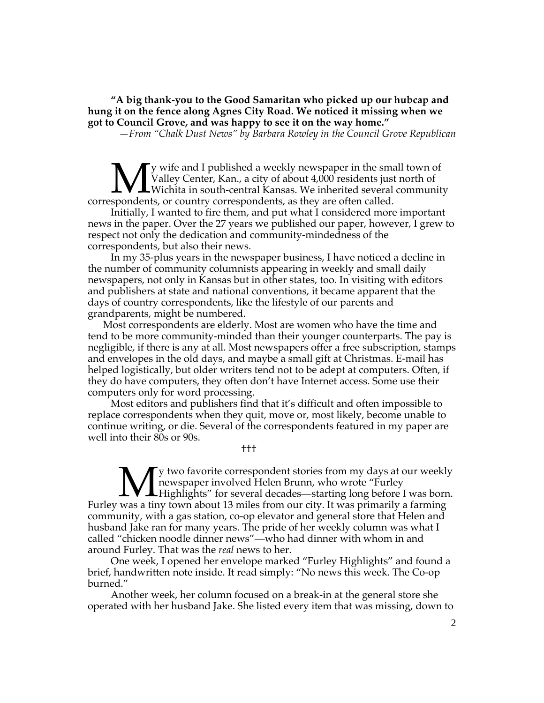**"A big thank-you to the Good Samaritan who picked up our hubcap and hung it on the fence along Agnes City Road. We noticed it missing when we got to Council Grove, and was happy to see it on the way home."**

*—From "Chalk Dust News" by Barbara Rowley in the Council Grove Republican*

y wife and I published a weekly newspaper in the small town of Valley Center, Kan., a city of about 4,000 residents just north of Wichita in south-central Kansas. We inherited several community correspondents, or country correspondents, as they are often called. M<sub>sponden</sub>

Initially, I wanted to fire them, and put what I considered more important news in the paper. Over the 27 years we published our paper, however, I grew to respect not only the dedication and community-mindedness of the correspondents, but also their news.

In my 35-plus years in the newspaper business, I have noticed a decline in the number of community columnists appearing in weekly and small daily newspapers, not only in Kansas but in other states, too. In visiting with editors and publishers at state and national conventions, it became apparent that the days of country correspondents, like the lifestyle of our parents and grandparents, might be numbered.

Most correspondents are elderly. Most are women who have the time and tend to be more community-minded than their younger counterparts. The pay is negligible, if there is any at all. Most newspapers offer a free subscription, stamps and envelopes in the old days, and maybe a small gift at Christmas. E-mail has helped logistically, but older writers tend not to be adept at computers. Often, if they do have computers, they often don't have Internet access. Some use their computers only for word processing.

Most editors and publishers find that it's difficult and often impossible to replace correspondents when they quit, move or, most likely, become unable to continue writing, or die. Several of the correspondents featured in my paper are well into their 80s or 90s.

†††

y two favorite correspondent stories from my days at our weekly newspaper involved Helen Brunn, who wrote "Furley Highlights" for several decades—starting long before I was born. Furley was a tiny town about 13 miles from our city. It was primarily a farming community, with a gas station, co-op elevator and general store that Helen and husband Jake ran for many years. The pride of her weekly column was what I called "chicken noodle dinner news"—who had dinner with whom in and around Furley. That was the *real* news to her. M

One week, I opened her envelope marked "Furley Highlights" and found a brief, handwritten note inside. It read simply: "No news this week. The Co-op burned."

Another week, her column focused on a break-in at the general store she operated with her husband Jake. She listed every item that was missing, down to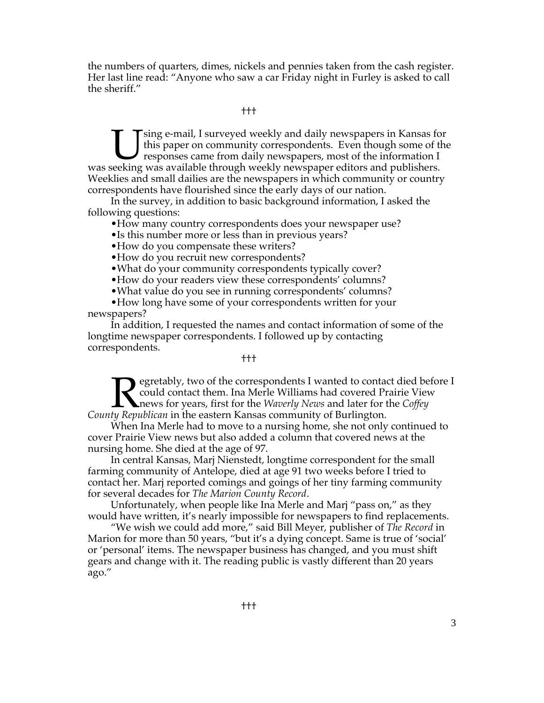the numbers of quarters, dimes, nickels and pennies taken from the cash register. Her last line read: "Anyone who saw a car Friday night in Furley is asked to call the sheriff."

### †††

sing e-mail, I surveyed weekly and daily newspapers in Kansas for this paper on community correspondents. Even though some of the responses came from daily newspapers, most of the information I US sing e-mail, I surveyed weekly and daily newspapers in Kansas for this paper on community correspondents. Even though some of the information I was seeking was available through weekly newspaper editors and publishers. Weeklies and small dailies are the newspapers in which community or country correspondents have flourished since the early days of our nation.

In the survey, in addition to basic background information, I asked the following questions:

•How many country correspondents does your newspaper use?

•Is this number more or less than in previous years?

•How do you compensate these writers?

•How do you recruit new correspondents?

•What do your community correspondents typically cover?

•How do your readers view these correspondents' columns?

•What value do you see in running correspondents' columns?

•How long have some of your correspondents written for your newspapers?

In addition, I requested the names and contact information of some of the longtime newspaper correspondents. I followed up by contacting correspondents.

### †††

egretably, two of the correspondents I wanted to contact died before I could contact them. Ina Merle Williams had covered Prairie View news for years, first for the *Waverly News* and later for the *Coffey County Republican* in the eastern Kansas community of Burlington.  $\sum_{\text{tw Rem}}$ 

When Ina Merle had to move to a nursing home, she not only continued to cover Prairie View news but also added a column that covered news at the nursing home. She died at the age of 97.

In central Kansas, Marj Nienstedt, longtime correspondent for the small farming community of Antelope, died at age 91 two weeks before I tried to contact her. Marj reported comings and goings of her tiny farming community for several decades for *The Marion County Record*.

Unfortunately, when people like Ina Merle and Marj "pass on," as they would have written, it's nearly impossible for newspapers to find replacements.

"We wish we could add more," said Bill Meyer, publisher of *The Record* in Marion for more than 50 years, "but it's a dying concept. Same is true of 'social' or 'personal' items. The newspaper business has changed, and you must shift gears and change with it. The reading public is vastly different than 20 years ago."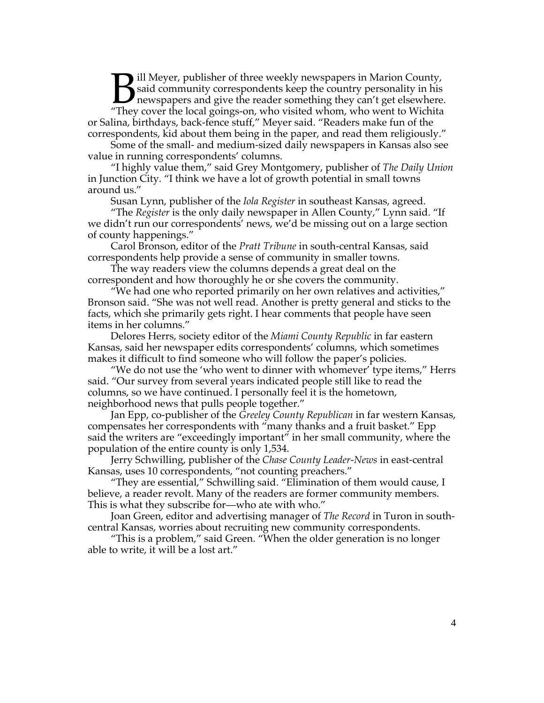ill Meyer, publisher of three weekly newspapers in Marion County, said community correspondents keep the country personality in his newspapers and give the reader something they can't get elsewhere. **11** Meyer, publisher of three weekly newspapers in Marion County, said community correspondents keep the country personality in his newspapers and give the reader something they can't get elsewhere "They cover the local g or Salina, birthdays, back-fence stuff," Meyer said. "Readers make fun of the correspondents, kid about them being in the paper, and read them religiously."

Some of the small- and medium-sized daily newspapers in Kansas also see value in running correspondents' columns.

"I highly value them," said Grey Montgomery, publisher of *The Daily Union* in Junction City. "I think we have a lot of growth potential in small towns around us."

Susan Lynn, publisher of the *Iola Register* in southeast Kansas, agreed.

"The *Register* is the only daily newspaper in Allen County," Lynn said. "If we didn't run our correspondents' news, we'd be missing out on a large section of county happenings."

Carol Bronson, editor of the *Pratt Tribune* in south-central Kansas, said correspondents help provide a sense of community in smaller towns.

The way readers view the columns depends a great deal on the correspondent and how thoroughly he or she covers the community.

"We had one who reported primarily on her own relatives and activities," Bronson said. "She was not well read. Another is pretty general and sticks to the facts, which she primarily gets right. I hear comments that people have seen items in her columns."

Delores Herrs, society editor of the *Miami County Republic* in far eastern Kansas, said her newspaper edits correspondents' columns, which sometimes makes it difficult to find someone who will follow the paper's policies.

"We do not use the 'who went to dinner with whomever' type items," Herrs said. "Our survey from several years indicated people still like to read the columns, so we have continued. I personally feel it is the hometown, neighborhood news that pulls people together."

Jan Epp, co-publisher of the *Greeley County Republican* in far western Kansas, compensates her correspondents with "many thanks and a fruit basket." Epp said the writers are "exceedingly important" in her small community, where the population of the entire county is only 1,534.

Jerry Schwilling, publisher of the *Chase County Leader-News* in east-central Kansas, uses 10 correspondents, "not counting preachers."

"They are essential," Schwilling said. "Elimination of them would cause, I believe, a reader revolt. Many of the readers are former community members. This is what they subscribe for—who ate with who."

Joan Green, editor and advertising manager of *The Record* in Turon in southcentral Kansas, worries about recruiting new community correspondents.

"This is a problem," said Green. "When the older generation is no longer able to write, it will be a lost art."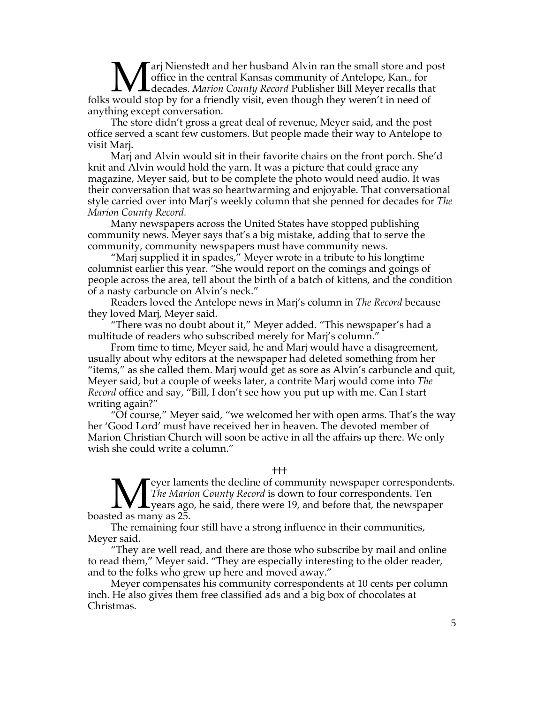arj Nienstedt and her husband Alvin ran the small store and post office in the central Kansas community of Antelope, Kan., for decades. *Marion County Record* Publisher Bill Meyer recalls that **Mar** Nienstedt and her husband Alvin ran the small store and poffice in the central Kansas community of Antelope, Kan., for folks would stop by for a friendly visit, even though they weren't in need of anything except conversation.

The store didn't gross a great deal of revenue, Meyer said, and the post office served a scant few customers. But people made their way to Antelope to visit Marj.

Marj and Alvin would sit in their favorite chairs on the front porch. She'd knit and Alvin would hold the yarn. It was a picture that could grace any magazine, Meyer said, but to be complete the photo would need audio. It was their conversation that was so heartwarming and enjoyable. That conversational style carried over into Marj's weekly column that she penned for decades for *The Marion County Record.*

Many newspapers across the United States have stopped publishing community news. Meyer says that's a big mistake, adding that to serve the community, community newspapers must have community news.

"Marj supplied it in spades," Meyer wrote in a tribute to his longtime columnist earlier this year. "She would report on the comings and goings of people across the area, tell about the birth of a batch of kittens, and the condition of a nasty carbuncle on Alvin's neck."

Readers loved the Antelope news in Marj's column in *The Record* because they loved Marj, Meyer said.

"There was no doubt about it," Meyer added. "This newspaper's had a multitude of readers who subscribed merely for Marj's column."

From time to time, Meyer said, he and Marj would have a disagreement, usually about why editors at the newspaper had deleted something from her "items," as she called them. Marj would get as sore as Alvin's carbuncle and quit, Meyer said, but a couple of weeks later, a contrite Marj would come into *The Record* office and say, "Bill, I don't see how you put up with me. Can I start writing again?"

"Of course," Meyer said, "we welcomed her with open arms. That's the way her 'Good Lord' must have received her in heaven. The devoted member of Marion Christian Church will soon be active in all the affairs up there. We only wish she could write a column."

†††

eyer laments the decline of community newspaper correspondents. *The Marion County Record* is down to four correspondents. Ten years ago, he said, there were 19, and before that, the newspaper boasted as many as 25.  $\prod_{\rm red\, as\, max}$ 

The remaining four still have a strong influence in their communities, Meyer said.

"They are well read, and there are those who subscribe by mail and online to read them," Meyer said. "They are especially interesting to the older reader, and to the folks who grew up here and moved away."

Meyer compensates his community correspondents at 10 cents per column inch. He also gives them free classified ads and a big box of chocolates at Christmas.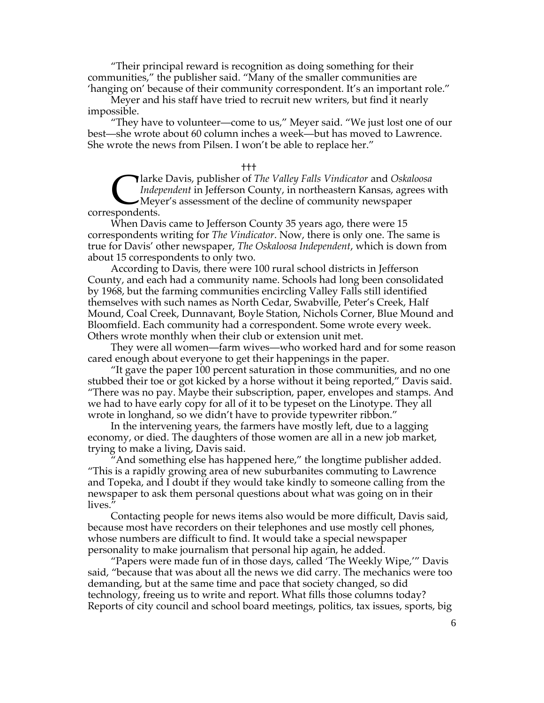"Their principal reward is recognition as doing something for their communities," the publisher said. "Many of the smaller communities are 'hanging on' because of their community correspondent. It's an important role."

Meyer and his staff have tried to recruit new writers, but find it nearly impossible.

"They have to volunteer—come to us," Meyer said. "We just lost one of our best—she wrote about 60 column inches a week—but has moved to Lawrence. She wrote the news from Pilsen. I won't be able to replace her."

#### †††

larke Davis, publisher of *The Valley Falls Vindicator* and *Oskaloosa Independent* in Jefferson County, in northeastern Kansas, agrees with Meyer's assessment of the decline of community newspaper Clarke<br>Clarke<br>correspondents.

When Davis came to Jefferson County 35 years ago, there were 15 correspondents writing for *The Vindicator*. Now, there is only one. The same is true for Davis' other newspaper, *The Oskaloosa Independent*, which is down from about 15 correspondents to only two.

According to Davis, there were 100 rural school districts in Jefferson County, and each had a community name. Schools had long been consolidated by 1968, but the farming communities encircling Valley Falls still identified themselves with such names as North Cedar, Swabville, Peter's Creek, Half Mound, Coal Creek, Dunnavant, Boyle Station, Nichols Corner, Blue Mound and Bloomfield. Each community had a correspondent. Some wrote every week. Others wrote monthly when their club or extension unit met.

They were all women—farm wives—who worked hard and for some reason cared enough about everyone to get their happenings in the paper.

"It gave the paper 100 percent saturation in those communities, and no one stubbed their toe or got kicked by a horse without it being reported," Davis said. "There was no pay. Maybe their subscription, paper, envelopes and stamps. And we had to have early copy for all of it to be typeset on the Linotype. They all wrote in longhand, so we didn't have to provide typewriter ribbon."

In the intervening years, the farmers have mostly left, due to a lagging economy, or died. The daughters of those women are all in a new job market, trying to make a living, Davis said.

And something else has happened here," the longtime publisher added. "This is a rapidly growing area of new suburbanites commuting to Lawrence and Topeka, and I doubt if they would take kindly to someone calling from the newspaper to ask them personal questions about what was going on in their lives."

Contacting people for news items also would be more difficult, Davis said, because most have recorders on their telephones and use mostly cell phones, whose numbers are difficult to find. It would take a special newspaper personality to make journalism that personal hip again, he added.

"Papers were made fun of in those days, called 'The Weekly Wipe,'" Davis said, "because that was about all the news we did carry. The mechanics were too demanding, but at the same time and pace that society changed, so did technology, freeing us to write and report. What fills those columns today? Reports of city council and school board meetings, politics, tax issues, sports, big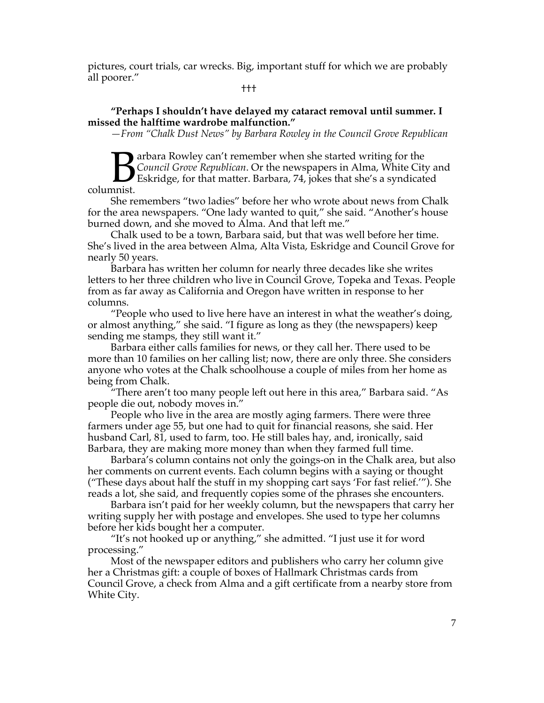pictures, court trials, car wrecks. Big, important stuff for which we are probably all poorer."

†††

## **"Perhaps I shouldn't have delayed my cataract removal until summer. I missed the halftime wardrobe malfunction."**

*—From "Chalk Dust News" by Barbara Rowley in the Council Grove Republican*

**The arbara Rowley can't remember when she started writing for the** *Council Grove Republican*. Or the newspapers in Alma, White City and Eskridge, for that matter. Barbara, 74, jokes that she's a syndicated columnist. B<sub>mist</sub>

She remembers "two ladies" before her who wrote about news from Chalk for the area newspapers. "One lady wanted to quit," she said. "Another's house burned down, and she moved to Alma. And that left me."

Chalk used to be a town, Barbara said, but that was well before her time. She's lived in the area between Alma, Alta Vista, Eskridge and Council Grove for nearly 50 years.

Barbara has written her column for nearly three decades like she writes letters to her three children who live in Council Grove, Topeka and Texas. People from as far away as California and Oregon have written in response to her columns.

"People who used to live here have an interest in what the weather's doing, or almost anything," she said. "I figure as long as they (the newspapers) keep sending me stamps, they still want it."

Barbara either calls families for news, or they call her. There used to be more than 10 families on her calling list; now, there are only three. She considers anyone who votes at the Chalk schoolhouse a couple of miles from her home as being from Chalk.

"There aren't too many people left out here in this area," Barbara said. "As people die out, nobody moves in."

People who live in the area are mostly aging farmers. There were three farmers under age 55, but one had to quit for financial reasons, she said. Her husband Carl, 81, used to farm, too. He still bales hay, and, ironically, said Barbara, they are making more money than when they farmed full time.

Barbara's column contains not only the goings-on in the Chalk area, but also her comments on current events. Each column begins with a saying or thought ("These days about half the stuff in my shopping cart says 'For fast relief.'"). She reads a lot, she said, and frequently copies some of the phrases she encounters.

Barbara isn't paid for her weekly column, but the newspapers that carry her writing supply her with postage and envelopes. She used to type her columns before her kids bought her a computer.

"It's not hooked up or anything," she admitted. "I just use it for word processing."

Most of the newspaper editors and publishers who carry her column give her a Christmas gift: a couple of boxes of Hallmark Christmas cards from Council Grove, a check from Alma and a gift certificate from a nearby store from White City.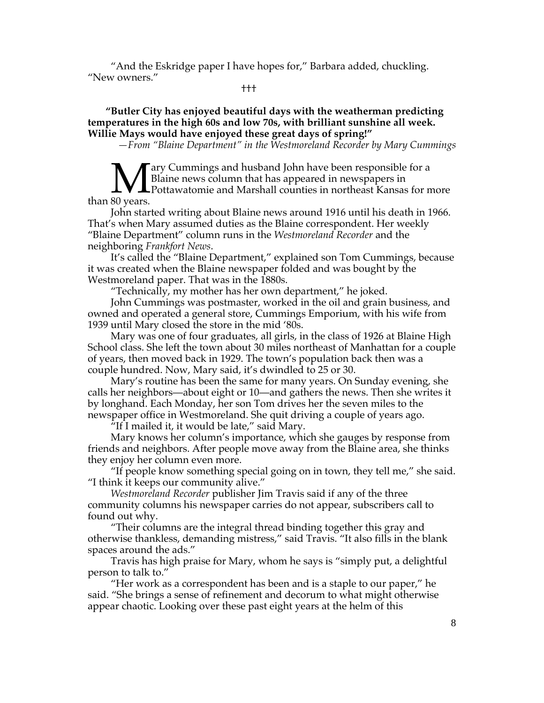"And the Eskridge paper I have hopes for," Barbara added, chuckling. "New owners."

†††

 **"Butler City has enjoyed beautiful days with the weatherman predicting temperatures in the high 60s and low 70s, with brilliant sunshine all week. Willie Mays would have enjoyed these great days of spring!"**

*—From "Blaine Department" in the Westmoreland Recorder by Mary Cummings*

ary Cummings and husband John have been responsible for a Blaine news column that has appeared in newspapers in **I** Pottawatomie and Marshall counties in northeast Kansas for more than 80 years.

John started writing about Blaine news around 1916 until his death in 1966. That's when Mary assumed duties as the Blaine correspondent. Her weekly "Blaine Department" column runs in the *Westmoreland Recorder* and the neighboring *Frankfort News*.

It's called the "Blaine Department," explained son Tom Cummings, because it was created when the Blaine newspaper folded and was bought by the Westmoreland paper. That was in the 1880s.

"Technically, my mother has her own department," he joked.

John Cummings was postmaster, worked in the oil and grain business, and owned and operated a general store, Cummings Emporium, with his wife from 1939 until Mary closed the store in the mid '80s.

Mary was one of four graduates, all girls, in the class of 1926 at Blaine High School class. She left the town about 30 miles northeast of Manhattan for a couple of years, then moved back in 1929. The town's population back then was a couple hundred. Now, Mary said, it's dwindled to 25 or 30.

Mary's routine has been the same for many years. On Sunday evening, she calls her neighbors—about eight or 10—and gathers the news. Then she writes it by longhand. Each Monday, her son Tom drives her the seven miles to the newspaper office in Westmoreland. She quit driving a couple of years ago.

 $\sqrt[n]{\text{If I}}$  mailed it, it would be late," said Mary.

Mary knows her column's importance, which she gauges by response from friends and neighbors. After people move away from the Blaine area, she thinks they enjoy her column even more.

"If people know something special going on in town, they tell me," she said. "I think it keeps our community alive."

*Westmoreland Recorder* publisher Jim Travis said if any of the three community columns his newspaper carries do not appear, subscribers call to found out why.

"Their columns are the integral thread binding together this gray and otherwise thankless, demanding mistress," said Travis. "It also fills in the blank spaces around the ads."

Travis has high praise for Mary, whom he says is "simply put, a delightful person to talk to."

"Her work as a correspondent has been and is a staple to our paper," he said. "She brings a sense of refinement and decorum to what might otherwise appear chaotic. Looking over these past eight years at the helm of this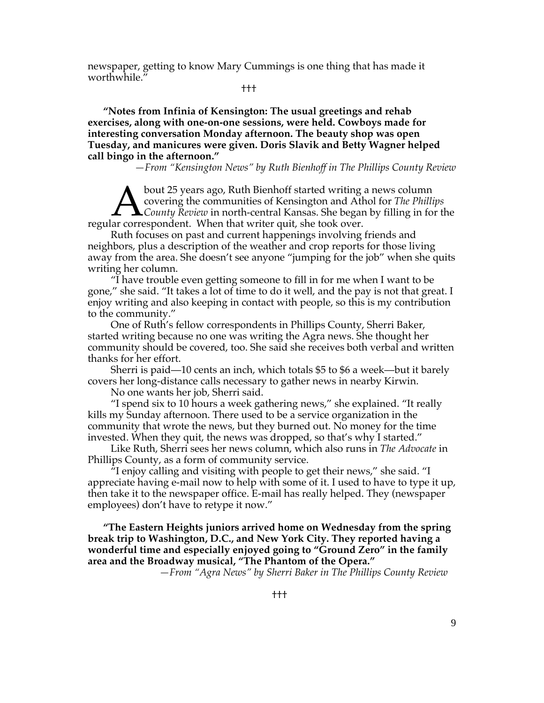newspaper, getting to know Mary Cummings is one thing that has made it worthwhile."

†††

**"Notes from Infinia of Kensington: The usual greetings and rehab exercises, along with one-on-one sessions, were held. Cowboys made for interesting conversation Monday afternoon. The beauty shop was open Tuesday, and manicures were given. Doris Slavik and Betty Wagner helped call bingo in the afternoon."**

*—From "Kensington News" by Ruth Bienhoff in The Phillips County Review*

bout 25 years ago, Ruth Bienhoff started writing a news column covering the communities of Kensington and Athol for *The Phillips County Review* in north-central Kansas. She began by filling in for the **Example 19 Section** Spears ago, Ruth Bienhoff started writing<br>covering the communities of Kensington and Atl<br>regular correspondent. When that writer quit, she took over.

Ruth focuses on past and current happenings involving friends and neighbors, plus a description of the weather and crop reports for those living away from the area. She doesn't see anyone "jumping for the job" when she quits writing her column.

"I have trouble even getting someone to fill in for me when I want to be gone," she said. "It takes a lot of time to do it well, and the pay is not that great. I enjoy writing and also keeping in contact with people, so this is my contribution to the community."

One of Ruth's fellow correspondents in Phillips County, Sherri Baker, started writing because no one was writing the Agra news. She thought her community should be covered, too. She said she receives both verbal and written thanks for her effort.

Sherri is paid—10 cents an inch, which totals \$5 to \$6 a week—but it barely covers her long-distance calls necessary to gather news in nearby Kirwin.

No one wants her job, Sherri said.

"I spend six to 10 hours a week gathering news," she explained. "It really kills my Sunday afternoon. There used to be a service organization in the community that wrote the news, but they burned out. No money for the time invested. When they quit, the news was dropped, so that's why I started."

Like Ruth, Sherri sees her news column, which also runs in *The Advocate* in Phillips County, as a form of community service.

"I enjoy calling and visiting with people to get their news," she said. "I appreciate having e-mail now to help with some of it. I used to have to type it up, then take it to the newspaper office. E-mail has really helped. They (newspaper employees) don't have to retype it now."

**"The Eastern Heights juniors arrived home on Wednesday from the spring break trip to Washington, D.C., and New York City. They reported having a wonderful time and especially enjoyed going to "Ground Zero" in the family area and the Broadway musical, "The Phantom of the Opera."**

 *—From "Agra News" by Sherri Baker in The Phillips County Review*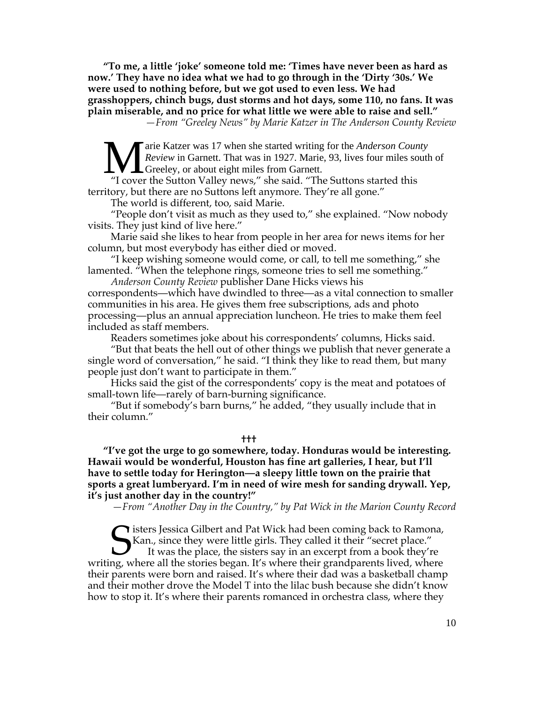**"To me, a little 'joke' someone told me: 'Times have never been as hard as now.' They have no idea what we had to go through in the 'Dirty '30s.' We were used to nothing before, but we got used to even less. We had grasshoppers, chinch bugs, dust storms and hot days, some 110, no fans. It was plain miserable, and no price for what little we were able to raise and sell."**

*—From "Greeley News" by Marie Katzer in The Anderson County Review*

arie Katzer was 17 when she started writing for the *Anderson County Review* in Garnett. That was in 1927. Marie, 93, lives four miles south of Greeley, or about eight miles from Garnett. **M** arie Katzer was 17 when she started writing for the *Anderson Cour Review* in Garnett. That was in 1927. Marie, 93, lives four miles so "I cover the Sutton Valley news," she said. "The Suttons started this

territory, but there are no Suttons left anymore. They're all gone."

The world is different, too, said Marie.

"People don't visit as much as they used to," she explained. "Now nobody visits. They just kind of live here."

Marie said she likes to hear from people in her area for news items for her column, but most everybody has either died or moved.

"I keep wishing someone would come, or call, to tell me something," she lamented. "When the telephone rings, someone tries to sell me something."

*Anderson County Review* publisher Dane Hicks views his correspondents—which have dwindled to three—as a vital connection to smaller communities in his area. He gives them free subscriptions, ads and photo processing—plus an annual appreciation luncheon. He tries to make them feel included as staff members.

Readers sometimes joke about his correspondents' columns, Hicks said.

"But that beats the hell out of other things we publish that never generate a single word of conversation," he said. "I think they like to read them, but many people just don't want to participate in them."

Hicks said the gist of the correspondents' copy is the meat and potatoes of small-town life—rarely of barn-burning significance.

"But if somebody's barn burns," he added, "they usually include that in their column."

**†††**

**"I've got the urge to go somewhere, today. Honduras would be interesting. Hawaii would be wonderful, Houston has fine art galleries, I hear, but I'll have to settle today for Herington—a sleepy little town on the prairie that sports a great lumberyard. I'm in need of wire mesh for sanding drywall. Yep, it's just another day in the country!"**

*—From "Another Day in the Country," by Pat Wick in the Marion County Record*

isters Jessica Gilbert and Pat Wick had been coming back to Ramona, Kan., since they were little girls. They called it their "secret place." It was the place, the sisters say in an excerpt from a book they're writing, where all the stories began. It's where their grandparents lived, where their parents were born and raised. It's where their dad was a basketball champ and their mother drove the Model T into the lilac bush because she didn't know how to stop it. It's where their parents romanced in orchestra class, where they S<sub>ng w</sub>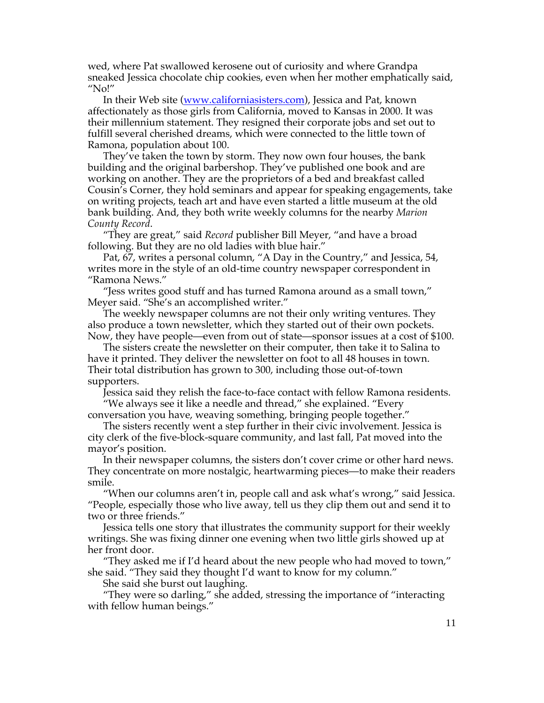wed, where Pat swallowed kerosene out of curiosity and where Grandpa sneaked Jessica chocolate chip cookies, even when her mother emphatically said, "No!"

In their Web site (www.californiasisters.com), Jessica and Pat, known affectionately as those girls from California, moved to Kansas in 2000. It was their millennium statement. They resigned their corporate jobs and set out to fulfill several cherished dreams, which were connected to the little town of Ramona, population about 100.

They've taken the town by storm. They now own four houses, the bank building and the original barbershop. They've published one book and are working on another. They are the proprietors of a bed and breakfast called Cousin's Corner, they hold seminars and appear for speaking engagements, take on writing projects, teach art and have even started a little museum at the old bank building. And, they both write weekly columns for the nearby *Marion County Record*.

"They are great," said *Record* publisher Bill Meyer, "and have a broad following. But they are no old ladies with blue hair."

Pat, 67, writes a personal column, "A Day in the Country," and Jessica, 54, writes more in the style of an old-time country newspaper correspondent in "Ramona News."

"Jess writes good stuff and has turned Ramona around as a small town," Meyer said. "She's an accomplished writer."

The weekly newspaper columns are not their only writing ventures. They also produce a town newsletter, which they started out of their own pockets. Now, they have people—even from out of state—sponsor issues at a cost of \$100.

The sisters create the newsletter on their computer, then take it to Salina to have it printed. They deliver the newsletter on foot to all 48 houses in town. Their total distribution has grown to 300, including those out-of-town supporters.

Jessica said they relish the face-to-face contact with fellow Ramona residents.

"We always see it like a needle and thread," she explained. "Every conversation you have, weaving something, bringing people together."

The sisters recently went a step further in their civic involvement. Jessica is city clerk of the five-block-square community, and last fall, Pat moved into the mayor's position.

In their newspaper columns, the sisters don't cover crime or other hard news. They concentrate on more nostalgic, heartwarming pieces—to make their readers smile.

"When our columns aren't in, people call and ask what's wrong," said Jessica. "People, especially those who live away, tell us they clip them out and send it to two or three friends."

Jessica tells one story that illustrates the community support for their weekly writings. She was fixing dinner one evening when two little girls showed up at her front door.

"They asked me if I'd heard about the new people who had moved to town," she said. "They said they thought I'd want to know for my column."

She said she burst out laughing.

"They were so darling," she added, stressing the importance of "interacting with fellow human beings."